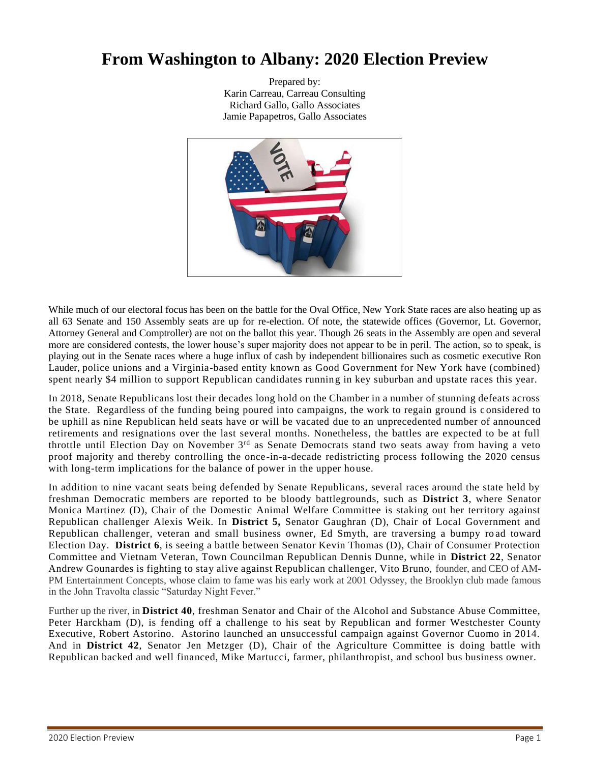# **From Washington to Albany: 2020 Election Preview**

Prepared by: Karin Carreau, Carreau Consulting Richard Gallo, Gallo Associates Jamie Papapetros, Gallo Associates



While much of our electoral focus has been on the battle for the Oval Office, New York State races are also heating up as all 63 Senate and 150 Assembly seats are up for re-election. Of note, the statewide offices (Governor, Lt. Governor, Attorney General and Comptroller) are not on the ballot this year. Though 26 seats in the Assembly are open and several more are considered contests, the lower house's super majority does not appear to be in peril. The action, so to speak, is playing out in the Senate races where a huge influx of cash by independent billionaires such as cosmetic executive Ron Lauder, police unions and a Virginia-based entity known as Good Government for New York have (combined) spent nearly \$4 million to support Republican candidates running in key suburban and upstate races this year.

In 2018, Senate Republicans lost their decades long hold on the Chamber in a number of stunning defeats across the State. Regardless of the funding being poured into campaigns, the work to regain ground is c onsidered to be uphill as nine Republican held seats have or will be vacated due to an unprecedented number of announced retirements and resignations over the last several months. Nonetheless, the battles are expected to be at full throttle until Election Day on November 3rd as Senate Democrats stand two seats away from having a veto proof majority and thereby controlling the once-in-a-decade redistricting process following the 2020 census with long-term implications for the balance of power in the upper house.

In addition to nine vacant seats being defended by Senate Republicans, several races around the state held by freshman Democratic members are reported to be bloody battlegrounds, such as **District 3**, where Senator Monica Martinez (D), Chair of the Domestic Animal Welfare Committee is staking out her territory against Republican challenger Alexis Weik. In **District 5,** Senator Gaughran (D), Chair of Local Government and Republican challenger, veteran and small business owner, Ed Smyth, are traversing a bumpy ro ad toward Election Day. **District 6**, is seeing a battle between Senator Kevin Thomas (D), Chair of Consumer Protection Committee and Vietnam Veteran, Town Councilman Republican Dennis Dunne, while in **District 22**, Senator Andrew Gounardes is fighting to stay alive against Republican challenger, Vito Bruno, founder, and CEO of AM-PM Entertainment Concepts, whose claim to fame was his early work at 2001 Odyssey, the Brooklyn club made famous in the John Travolta classic "Saturday Night Fever."

Further up the river, in **District 40**, freshman Senator and Chair of the Alcohol and Substance Abuse Committee, Peter Harckham (D), is fending off a challenge to his seat by Republican and former Westchester County Executive, Robert Astorino. Astorino launched an unsuccessful campaign against Governor Cuomo in 2014. And in **District 42**, Senator Jen Metzger (D), Chair of the Agriculture Committee is doing battle with Republican backed and well financed, Mike Martucci, farmer, philanthropist, and school bus business owner.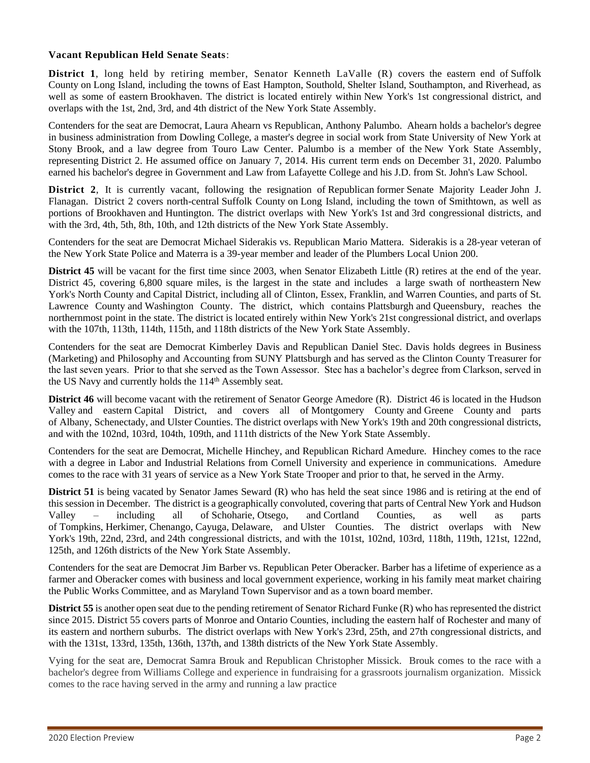#### **Vacant Republican Held Senate Seats**:

**District 1.** long held by retiring member, Senator Kenneth LaValle (R) covers the eastern end of [Suffolk](https://en.wikipedia.org/wiki/Suffolk_County,_New_York) [County](https://en.wikipedia.org/wiki/Suffolk_County,_New_York) on Long [Island,](https://en.wikipedia.org/wiki/Long_Island,_New_York) including the towns of [East Hampton,](https://en.wikipedia.org/wiki/East_Hampton_(town),_New_York) [Southold,](https://en.wikipedia.org/wiki/Southold,_New_York) [Shelter Island,](https://en.wikipedia.org/wiki/Shelter_Island,_New_York) [Southampton,](https://en.wikipedia.org/wiki/Southampton,_New_York) and [Riverhead,](https://en.wikipedia.org/wiki/Riverhead_(town),_New_York) as well as some of eastern [Brookhaven.](https://en.wikipedia.org/wiki/Brookhaven,_New_York) The district is located entirely within [New York's 1st congressional district,](https://en.wikipedia.org/wiki/New_York%27s_1st_congressional_district) and overlaps with the 1st, 2nd, 3rd, and 4th district of the [New York State Assembly.](https://en.wikipedia.org/wiki/New_York_State_Assembly)

Contenders for the seat are Democrat, Laura Ahearn vs Republican, Anthony Palumbo. Ahearn holds a bachelor's degree in business administration from Dowling College, a master's degree in social work from State University of New York at Stony Brook, and a law degree from Touro Law Center. Palumbo is a member of the [New York State Assembly,](https://ballotpedia.org/New_York_State_Assembly_District_2) representing [District 2.](https://ballotpedia.org/New_York_State_Assembly_District_2) He assumed office on January 7, 2014. His current term ends on December 31, 2020. Palumbo earned his bachelor's degree in Government and Law from Lafayette College and his J.D. from St. John's Law School.

**District 2**, It is currently vacant, following the resignation of [Republican](https://en.wikipedia.org/wiki/Republican_Party_(United_States)) former [Senate Majority Leader](https://en.wikipedia.org/wiki/Majority_Leader_of_the_New_York_State_Senate) [John J.](https://en.wikipedia.org/wiki/John_J._Flanagan)  [Flanagan.](https://en.wikipedia.org/wiki/John_J._Flanagan) District 2 covers north-central [Suffolk County](https://en.wikipedia.org/wiki/Suffolk_County,_New_York) on [Long Island,](https://en.wikipedia.org/wiki/Long_Island,_New_York) including the town of [Smithtown,](https://en.wikipedia.org/wiki/Smithtown,_New_York) as well as portions of [Brookhaven](https://en.wikipedia.org/wiki/Brookhaven,_New_York) and [Huntington.](https://en.wikipedia.org/wiki/Huntington,_New_York) The district overlaps with New York's [1st](https://en.wikipedia.org/wiki/New_York%27s_1st_congressional_district) and [3rd congressional districts,](https://en.wikipedia.org/wiki/New_York%27s_3rd_congressional_district) and with the 3rd, 4th, 5th, 8th, 10th, and 12th districts of the [New York State Assembly.](https://en.wikipedia.org/wiki/New_York_State_Assembly)

Contenders for the seat are Democrat Michael Siderakis vs. Republican Mario Mattera. Siderakis is a 28-year veteran of the New York State Police and Materra is a 39-year member and leader of the Plumbers Local Union 200.

**District 45** will be vacant for the first time since 2003, when Senator Elizabeth Little (R) retires at the end of the year. District 45, covering 6,800 square miles, is the largest in the state and includes a large swath of northeastern [New](https://en.wikipedia.org/wiki/New_York_(state))  [York's](https://en.wikipedia.org/wiki/New_York_(state)) [North County](https://en.wikipedia.org/wiki/North_Country_(New_York)) and [Capital District,](https://en.wikipedia.org/wiki/Capital_District,_New_York) including all of [Clinton,](https://en.wikipedia.org/wiki/Clinton_County,_New_York) [Essex,](https://en.wikipedia.org/wiki/Essex_County,_New_York) [Franklin,](https://en.wikipedia.org/wiki/Franklin_County,_New_York) and [Warren Counties,](https://en.wikipedia.org/wiki/Warren_County,_New_York) and parts of [St.](https://en.wikipedia.org/wiki/St._Lawrence_County,_New_York)  [Lawrence County](https://en.wikipedia.org/wiki/St._Lawrence_County,_New_York) and [Washington County.](https://en.wikipedia.org/wiki/Washington_County,_New_York) The district, which contains [Plattsburgh](https://en.wikipedia.org/wiki/Plattsburgh_(city),_New_York) and [Queensbury,](https://en.wikipedia.org/wiki/Queensbury,_New_York) reaches the northernmost point in the state. The district is located entirely within [New York's 21st congressional district,](https://en.wikipedia.org/wiki/New_York%27s_21st_congressional_district) and overlaps with the 107th, 113th, 114th, 115th, and 118th districts of the [New York State Assembly.](https://en.wikipedia.org/wiki/New_York_State_Assembly)

Contenders for the seat are Democrat Kimberley Davis and Republican Daniel Stec. Davis holds degrees in Business (Marketing) and Philosophy and Accounting from SUNY Plattsburgh and has served as the Clinton County Treasurer for the last seven years. Prior to that she served as the Town Assessor. Stec has a bachelor's degree from Clarkson, served in the US Navy and currently holds the 114<sup>th</sup> Assembly seat.

**District 46** will become vacant with the retirement of Senator George Amedore (R). District 46 is located in the [Hudson](https://en.wikipedia.org/wiki/Hudson_Valley)  [Valley](https://en.wikipedia.org/wiki/Hudson_Valley) and eastern [Capital District,](https://en.wikipedia.org/wiki/Capital_District,_New_York) and covers all of [Montgomery County](https://en.wikipedia.org/wiki/Montgomery_County,_New_York) and [Greene County](https://en.wikipedia.org/wiki/Greene_County,_New_York) and parts of [Albany,](https://en.wikipedia.org/wiki/Albany_County,_New_York) [Schenectady,](https://en.wikipedia.org/wiki/Schenectady_County,_New_York) and [Ulster Counties.](https://en.wikipedia.org/wiki/Ulster_County,_New_York) The district overlaps with New York's [19th](https://en.wikipedia.org/wiki/New_York%27s_19th_congressional_district) and [20th congressional districts,](https://en.wikipedia.org/wiki/New_York%27s_20th_congressional_district) and with the 102nd, 103rd, 104th, 109th, and 111th districts of the [New York State Assembly.](https://en.wikipedia.org/wiki/New_York_State_Assembly)

Contenders for the seat are Democrat, Michelle Hinchey, and Republican Richard Amedure. Hinchey comes to the race with a degree in Labor and Industrial Relations from Cornell University and experience in communications. Amedure comes to the race with 31 years of service as a New York State Trooper and prior to that, he served in the Army.

**District 51** is being vacated by Senator James Seward (R) who has held the seat since 1986 and is retiring at the end of this session in December. The district is a geographically convoluted, covering that parts o[f Central New York](https://en.wikipedia.org/wiki/Central_New_York) and [Hudson](https://en.wikipedia.org/wiki/Hudson_Valley)  [Valley](https://en.wikipedia.org/wiki/Hudson_Valley) – including all of [Schoharie,](https://en.wikipedia.org/wiki/Schoharie_County,_New_York) [Otsego,](https://en.wikipedia.org/wiki/Otsego_County,_New_York) and [Cortland Counties,](https://en.wikipedia.org/wiki/Cortland_County,_New_York) as well as parts of [Tompkins,](https://en.wikipedia.org/wiki/Tompkins_County,_New_York) [Herkimer,](https://en.wikipedia.org/wiki/Herkimer_County,_New_York) [Chenango,](https://en.wikipedia.org/wiki/Chenango_County,_New_York) [Cayuga,](https://en.wikipedia.org/wiki/Cayuga_County,_New_York) [Delaware,](https://en.wikipedia.org/wiki/Delaware_County,_New_York) and [Ulster Counties.](https://en.wikipedia.org/wiki/Ulster_County,_New_York) The district overlaps with New York's [19th,](https://en.wikipedia.org/wiki/New_York%27s_19th_congressional_district) [22nd,](https://en.wikipedia.org/wiki/New_York%27s_22nd_congressional_district) [23rd,](https://en.wikipedia.org/wiki/New_York%27s_23rd_congressional_district) and [24th congressional districts,](https://en.wikipedia.org/wiki/New_York%27s_24th_congressional_district) and with the 101st, 102nd, 103rd, 118th, 119th, 121st, 122nd, 125th, and 126th districts of the [New York State Assembly.](https://en.wikipedia.org/wiki/New_York_State_Assembly)

Contenders for the seat are Democrat Jim Barber vs. Republican Peter Oberacker. Barber has a lifetime of experience as a farmer and Oberacker comes with business and local government experience, working in his family meat market chairing the Public Works Committee, and as Maryland Town Supervisor and as a town board member.

**District 55** is another open seat due to the pending retirement of Senator Richard Funke (R) who has represented the district since 2015. District 55 covers parts of [Monroe](https://en.wikipedia.org/wiki/Monroe_County,_New_York) and [Ontario Counties,](https://en.wikipedia.org/wiki/Ontario_County,_New_York) including the eastern half of [Rochester](https://en.wikipedia.org/wiki/Rochester,_New_York) and many of its eastern and northern suburbs. The district overlaps with New York's [23rd,](https://en.wikipedia.org/wiki/New_York%27s_23rd_congressional_district) [25th,](https://en.wikipedia.org/wiki/New_York%27s_25th_congressional_district) and [27th congressional districts,](https://en.wikipedia.org/wiki/New_York%27s_27th_congressional_district) and with the 131st, 133rd, 135th, 136th, 137th, and 138th districts of the [New York State Assembly.](https://en.wikipedia.org/wiki/New_York_State_Assembly)

Vying for the seat are, Democrat Samra Brouk and Republican Christopher Missick. Brouk comes to the race with a bachelor's degree from Williams College and experience in fundraising for a grassroots journalism organization. Missick comes to the race having served in the army and running a law practice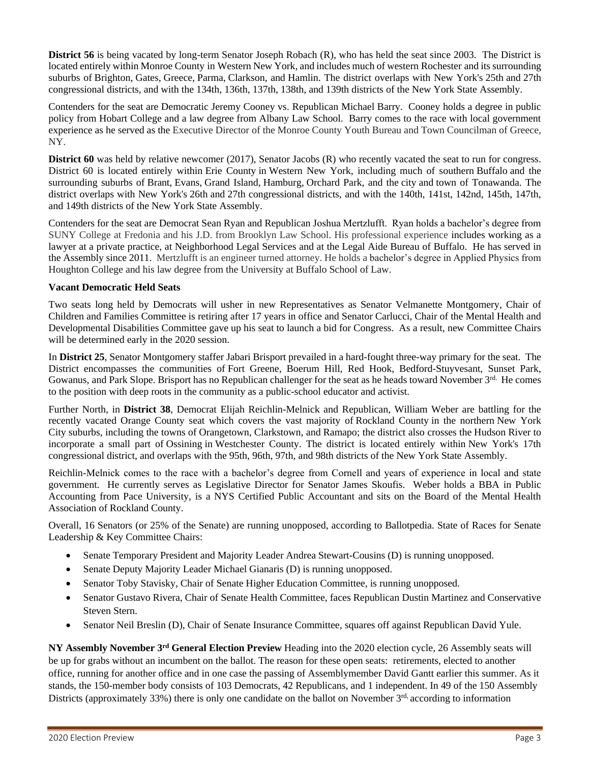**District 56** is being vacated by long-term Senator Joseph Robach (R), who has held the seat since 2003. The District is located entirely within Monroe County in [Western New York,](https://en.wikipedia.org/wiki/Western_New_York) and includes much of western [Rochester](https://en.wikipedia.org/wiki/Rochester,_New_York) and its surrounding suburbs of [Brighton,](https://en.wikipedia.org/wiki/Brighton,_Monroe_County,_New_York) [Gates,](https://en.wikipedia.org/wiki/Gates,_New_York) [Greece,](https://en.wikipedia.org/wiki/Greece_(town),_New_York) [Parma,](https://en.wikipedia.org/wiki/Parma,_New_York) [Clarkson,](https://en.wikipedia.org/wiki/Clarkson,_New_York) and [Hamlin.](https://en.wikipedia.org/wiki/Hamlin,_New_York) The district overlaps with New York's [25th](https://en.wikipedia.org/wiki/New_York%27s_25th_congressional_district) and [27th](https://en.wikipedia.org/wiki/New_York%27s_27th_congressional_district)  [congressional districts,](https://en.wikipedia.org/wiki/New_York%27s_27th_congressional_district) and with the 134th, 136th, 137th, 138th, and 139th districts of the [New York State Assembly.](https://en.wikipedia.org/wiki/New_York_State_Assembly)

Contenders for the seat are Democratic Jeremy Cooney vs. Republican Michael Barry. Cooney holds a degree in public policy from Hobart College and a law degree from Albany Law School. Barry comes to the race with local government experience as he served as the Executive Director of the Monroe County Youth Bureau and Town Councilman of Greece, NY.

**District 60** was held by relative newcomer (2017), Senator Jacobs (R) who recently vacated the seat to run for congress. District 60 is located entirely within [Erie County](https://en.wikipedia.org/wiki/Erie_County,_New_York) in [Western New York,](https://en.wikipedia.org/wiki/Western_New_York) including much of southern [Buffalo](https://en.wikipedia.org/wiki/Buffalo,_New_York) and the surrounding suburbs of [Brant,](https://en.wikipedia.org/wiki/Brant,_New_York) [Evans,](https://en.wikipedia.org/wiki/Evans,_New_York) [Grand Island,](https://en.wikipedia.org/wiki/Grand_Island,_New_York) [Hamburg,](https://en.wikipedia.org/wiki/Hamburg,_New_York) [Orchard Park,](https://en.wikipedia.org/wiki/Orchard_Park_(town),_New_York) and the [city](https://en.wikipedia.org/wiki/Tonawanda_(city),_New_York) and [town of Tonawanda.](https://en.wikipedia.org/wiki/Tonawanda_(town),_New_York) The district overlaps with New York's [26th](https://en.wikipedia.org/wiki/New_York%27s_26th_congressional_district) and [27th congressional districts,](https://en.wikipedia.org/wiki/New_York%27s_27th_congressional_district) and with the 140th, 141st, 142nd, 145th, 147th, and 149th districts of the [New York State Assembly.](https://en.wikipedia.org/wiki/New_York_State_Assembly)

Contenders for the seat are Democrat Sean Ryan and Republican Joshua Mertzlufft. Ryan holds a bachelor's degree from SUNY College at Fredonia and his J.D. from Brooklyn Law School. His professional experience includes working as a lawyer at a private practice, at Neighborhood Legal Services and at the Legal Aide Bureau of Buffalo. He has served in the Assembly since 2011. Mertzlufft is an engineer turned attorney. He holds a bachelor's degree in Applied Physics from Houghton College and his law degree from the University at Buffalo School of Law.

#### **Vacant Democratic Held Seats**

Two seats long held by Democrats will usher in new Representatives as Senator Velmanette Montgomery, Chair of Children and Families Committee is retiring after 17 years in office and Senator Carlucci, Chair of the Mental Health and Developmental Disabilities Committee gave up his seat to launch a bid for Congress. As a result, new Committee Chairs will be determined early in the 2020 session.

In **District 25**, Senator Montgomery staffer Jabari Brisport prevailed in a hard-fought three-way primary for the seat. The District encompasses the communities of Fort Greene, Boerum Hill, Red Hook, Bedford-Stuyvesant, Sunset Park, Gowanus, and Park Slope. Brisport has no Republican challenger for the seat as he heads toward November  $3<sup>rd</sup>$ . He comes to the position with deep roots in the community as a public-school educator and activist.

Further North, in **District 38**, Democrat Elijah Reichlin-Melnick and Republican, William Weber are battling for the recently vacated Orange County seat which covers the vast majority of [Rockland County](https://en.wikipedia.org/wiki/Rockland_County,_New_York) in the northern [New York](https://en.wikipedia.org/wiki/New_York_City)  [City](https://en.wikipedia.org/wiki/New_York_City) suburbs, including the towns of [Orangetown,](https://en.wikipedia.org/wiki/Orangetown,_New_York) [Clarkstown,](https://en.wikipedia.org/wiki/Clarkstown,_New_York) and [Ramapo;](https://en.wikipedia.org/wiki/Ramapo,_New_York) the district also crosses the [Hudson River](https://en.wikipedia.org/wiki/Hudson_River) to incorporate a small part of [Ossining](https://en.wikipedia.org/wiki/Ossining_(town),_New_York) in [Westchester County.](https://en.wikipedia.org/wiki/Westchester_County,_New_York) The district is located entirely within [New York's 17th](https://en.wikipedia.org/wiki/New_York%27s_17th_congressional_district)  [congressional district,](https://en.wikipedia.org/wiki/New_York%27s_17th_congressional_district) and overlaps with the 95th, 96th, 97th, and 98th districts of the [New York State Assembly.](https://en.wikipedia.org/wiki/New_York_State_Assembly)

Reichlin-Melnick comes to the race with a bachelor's degree from Cornell and years of experience in local and state government. He currently serves as Legislative Director for Senator James Skoufis. Weber holds a BBA in Public Accounting from Pace University, is a NYS Certified Public Accountant and sits on the Board of the Mental Health Association of Rockland County.

Overall, 16 Senators (or 25% of the Senate) are running unopposed, according to Ballotpedia. State of Races for Senate Leadership & Key Committee Chairs:

- Senate Temporary President and Majority Leader Andrea Stewart-Cousins (D) is running unopposed.
- Senate Deputy Majority Leader Michael Gianaris (D) is running unopposed.
- Senator Toby Stavisky, Chair of Senate Higher Education Committee, is running unopposed.
- Senator Gustavo Rivera, Chair of Senate Health Committee, faces Republican Dustin Martinez and Conservative Steven Stern.
- Senator Neil Breslin (D), Chair of Senate Insurance Committee, squares off against Republican David Yule.

**NY Assembly November 3rd General Election Preview** Heading into the 2020 election cycle, 26 Assembly seats will be up for grabs without an incumbent on the ballot. The reason for these open seats: retirements, elected to another office, running for another office and in one case the passing of Assemblymember David Gantt earlier this summer. As it stands, the 150-member body consists of 103 Democrats, 42 Republicans, and 1 independent. In 49 of the 150 Assembly Districts (approximately 33%) there is only one candidate on the ballot on November 3<sup>rd,</sup> according to information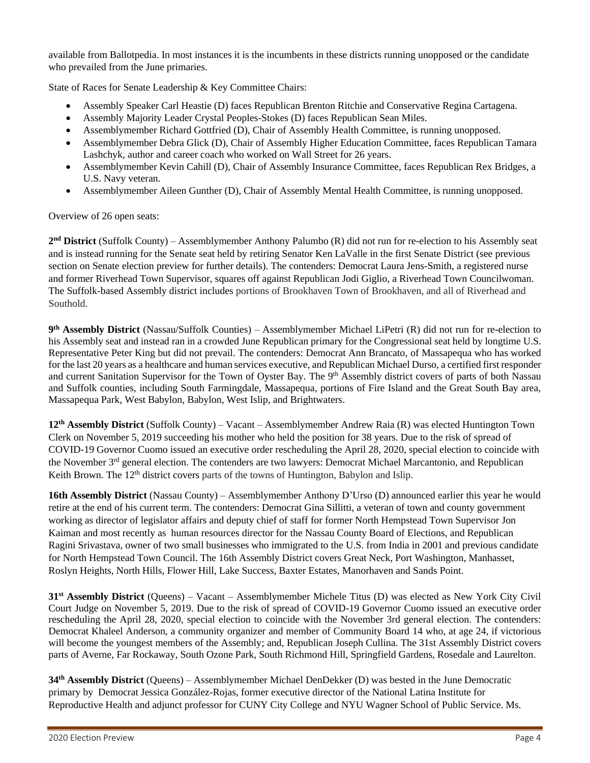available from Ballotpedia. In most instances it is the incumbents in these districts running unopposed or the candidate who prevailed from the June primaries.

State of Races for Senate Leadership & Key Committee Chairs:

- Assembly Speaker Carl Heastie (D) faces Republican Brenton Ritchie and Conservative Regina Cartagena.
- Assembly Majority Leader Crystal Peoples-Stokes (D) faces Republican Sean Miles.
- Assemblymember Richard Gottfried (D), Chair of Assembly Health Committee, is running unopposed.
- Assemblymember Debra Glick (D), Chair of Assembly Higher Education Committee, faces Republican Tamara Lashchyk, author and career coach who worked on Wall Street for 26 years.
- Assemblymember Kevin Cahill (D), Chair of Assembly Insurance Committee, faces Republican Rex Bridges, a U.S. Navy veteran.
- Assemblymember Aileen Gunther (D), Chair of Assembly Mental Health Committee, is running unopposed.

Overview of 26 open seats:

2<sup>nd</sup> District (Suffolk County) – Assemblymember Anthony Palumbo (R) did not run for re-election to his Assembly seat and is instead running for the Senate seat held by retiring Senator Ken LaValle in the first Senate District (see previous section on Senate election preview for further details). The contenders: Democrat Laura Jens-Smith, a registered nurse and former Riverhead Town Supervisor, squares off against Republican Jodi Giglio, a Riverhead Town Councilwoman. The Suffolk-based Assembly district includes portions of Brookhaven Town of Brookhaven, and all of Riverhead and Southold.

**9 th Assembly District** (Nassau/Suffolk Counties) – Assemblymember Michael LiPetri (R) did not run for re-election to his Assembly seat and instead ran in a crowded June Republican primary for the Congressional seat held by longtime U.S. Representative Peter King but did not prevail. The contenders: Democrat Ann Brancato, of Massapequa who has worked for the last 20 years as a healthcare and human services executive, and Republican Michael Durso, a certified first responder and current Sanitation Supervisor for the Town of Oyster Bay. The 9<sup>th</sup> Assembly district covers of parts of both Nassau and Suffolk counties, including South Farmingdale, Massapequa, portions of Fire Island and the Great South Bay area, Massapequa Park, West Babylon, Babylon, West Islip, and Brightwaters.

**12th Assembly District** (Suffolk County) – Vacant – Assemblymember Andrew Raia (R) was elected Huntington Town Clerk on November 5, 2019 succeeding his mother who held the position for 38 years. Due to the risk of spread of COVID-19 Governor Cuomo issued an executive order rescheduling the April 28, 2020, special election to coincide with the November 3<sup>rd</sup> general election. The contenders are two lawyers: Democra[t Michael Marcantonio,](https://ballotpedia.org/Michael_Marcantonio) and Republican Keith Brown. The  $12<sup>th</sup>$  district covers parts of the towns of Huntington, Babylon and Islip.

**16th Assembly District** (Nassau County) – Assemblymember Anthony D'Urso (D) announced earlier this year he would retire at the end of his current term. The contenders: Democra[t Gina Sillitti,](https://ballotpedia.org/Gina_Sillitti) a veteran of town and county government working as director of legislator affairs and deputy chief of staff for former North Hempstead Town Supervisor Jon Kaiman and most recently as human resources director for the Nassau County Board of Elections, and Republican [Ragini Srivastava,](https://ballotpedia.org/Ragini_Srivastava) owner of two small businesses who immigrated to the U.S. from India in 2001 and previous candidate for North Hempstead Town Council. The 16th Assembly District covers Great Neck, Port Washington, Manhasset, Roslyn Heights, North Hills, Flower Hill, Lake Success, Baxter Estates, Manorhaven and Sands Point.

**31st Assembly District** (Queens) – Vacant – Assemblymember Michele Titus (D) was elected as New York City Civil Court Judge on November 5, 2019. Due to the risk of spread of COVID-19 Governor Cuomo issued an executive order rescheduling the April 28, 2020, special election to coincide with the November 3rd general election. The contenders: Democrat [Khaleel Anderson,](https://ballotpedia.org/Khaleel_Anderson) a community organizer and member of Community Board 14 who, at age 24, if victorious will become the youngest members of the Assembly; and, Republican [Joseph Cullina.](https://ballotpedia.org/Joseph_Cullina) The 31st Assembly District covers parts of Averne, Far Rockaway, South Ozone Park, South Richmond Hill, Springfield Gardens, Rosedale and Laurelton.

**34th Assembly District** (Queens) – Assemblymember Michael DenDekker (D) was bested in the June Democratic primary by Democrat Jessica González-Rojas, former executive director of the National Latina Institute for Reproductive Health and adjunct professor for CUNY City College and NYU Wagner School of Public Service. Ms.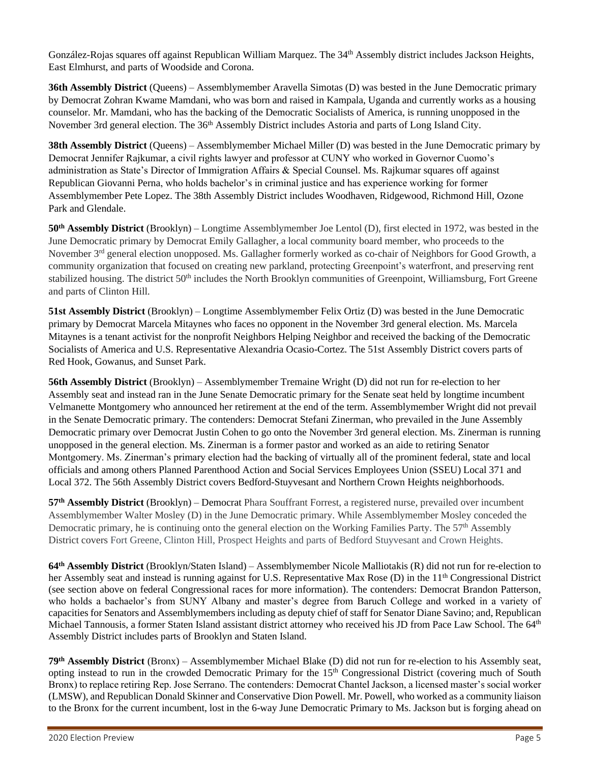González-Rojas squares off against Republican [William Marquez.](https://ballotpedia.org/William_Marquez) The 34<sup>th</sup> Assembly district includes Jackson Heights, East Elmhurst, and parts of Woodside and Corona.

**36th Assembly District (Queens) – Assemblymember Aravella Simotas (D) was bested in the June Democratic primary** by Democra[t Zohran Kwame Mamdani,](https://ballotpedia.org/Zohran_Kwame_Mamdani) who was born and raised in Kampala, Uganda and currently works as a housing counselor. Mr. Mamdani, who has the backing of the Democratic Socialists of America, is running unopposed in the November 3rd general election. The 36<sup>th</sup> Assembly District includes Astoria and parts of Long Island City.

**38th Assembly District** (Queens) – Assemblymember Michael Miller (D) was bested in the June Democratic primary by Democrat Jennifer Rajkumar, a civil rights lawyer and professor at CUNY who worked in Governor Cuomo's administration as State's Director of Immigration Affairs & Special Counsel. Ms. Rajkumar squares off against Republican [Giovanni Perna,](https://ballotpedia.org/Giovanni_Perna) who holds bachelor's in criminal justice and has experience working for former Assemblymember Pete Lopez. The 38th Assembly District includes Woodhaven, Ridgewood, Richmond Hill, Ozone Park and Glendale.

**50th Assembly District** (Brooklyn) – Longtime Assemblymember Joe Lentol (D), first elected in 1972, was bested in the June Democratic primary by Democrat Emily Gallagher, a local community board member, who proceeds to the November 3rd general election unopposed. Ms. Gallagher formerly worked as co-chair of Neighbors for Good Growth, a community organization that focused on creating new parkland, protecting Greenpoint's waterfront, and preserving rent stabilized housing. The district 50<sup>th</sup> includes the North Brooklyn communities of Greenpoint, Williamsburg, Fort Greene and parts of Clinton Hill.

**51st Assembly District** (Brooklyn) – Longtime Assemblymember Felix Ortiz (D) was bested in the June Democratic primary by Democrat [Marcela Mitaynes](https://ballotpedia.org/Marcela_Mitaynes) who faces no opponent in the November 3rd general election. Ms. Marcela Mitaynes is a tenant activist for the nonprofit Neighbors Helping Neighbor and received the backing of the Democratic Socialists of America and U.S. Representative Alexandria Ocasio-Cortez. The 51st Assembly District covers parts of Red Hook, Gowanus, and Sunset Park.

**56th Assembly District** (Brooklyn) – Assemblymember [Tremaine Wright](https://ballotpedia.org/Tremaine_S._Wright) (D) did not run for re-election to her Assembly seat and instead ran in the June Senate Democratic primary for the Senate seat held by longtime incumbent Velmanette Montgomery who announced her retirement at the end of the term. Assemblymember Wright did not prevail in the Senate Democratic primary. The contenders: Democrat Stefani Zinerman, who prevailed in the June Assembly Democratic primary over Democrat Justin Cohen to go onto the November 3rd general election. Ms. Zinerman is running unopposed in the general election. Ms. Zinerman is a former pastor and worked as an aide to retiring Senator Montgomery. Ms. Zinerman's primary election had the backing of virtually all of the prominent federal, state and local officials and among others Planned Parenthood Action and Social Services Employees Union (SSEU) Local 371 and Local 372. The 56th Assembly District covers Bedford-Stuyvesant and Northern Crown Heights neighborhoods.

**57th Assembly District** (Brooklyn) – Democrat Phara Souffrant Forrest, a registered nurse, prevailed over incumbent Assemblymember Walter Mosley (D) in the June Democratic primary. While Assemblymember Mosley conceded the Democratic primary, he is continuing onto the general election on the Working Families Party. The 57<sup>th</sup> Assembly District covers Fort Greene, Clinton Hill, Prospect Heights and parts of Bedford Stuyvesant and Crown Heights.

**64th Assembly District** (Brooklyn/Staten Island) – Assemblymember Nicole Malliotakis (R) did not run for re-election to her Assembly seat and instead is running against for U.S. Representative Max Rose (D) in the 11<sup>th</sup> Congressional District (see section above on federal Congressional races for more information). The contenders: Democrat Brandon Patterson, who holds a bachaelor's from SUNY Albany and master's degree from Baruch College and worked in a variety of capacities for Senators and Assemblymembers including as deputy chief of staff for Senator Diane Savino; and, Republican Michael Tannousis, a former Staten Island assistant district attorney who received his JD from Pace Law School. The 64<sup>th</sup> Assembly District includes parts of Brooklyn and Staten Island.

**79th Assembly District** (Bronx) – Assemblymember Michael Blake (D) did not run for re-election to his Assembly seat, opting instead to run in the crowded Democratic Primary for the 15<sup>th</sup> Congressional District (covering much of South Bronx) to replace retiring Rep. Jose Serrano. The contenders: Democrat Chantel Jackson, a licensed master's social worker (LMSW), and Republican Donald Skinner and Conservative Dion Powell. Mr. Powell, who worked as a community liaison to the Bronx for the current incumbent, lost in the 6-way June Democratic Primary to Ms. Jackson but is forging ahead on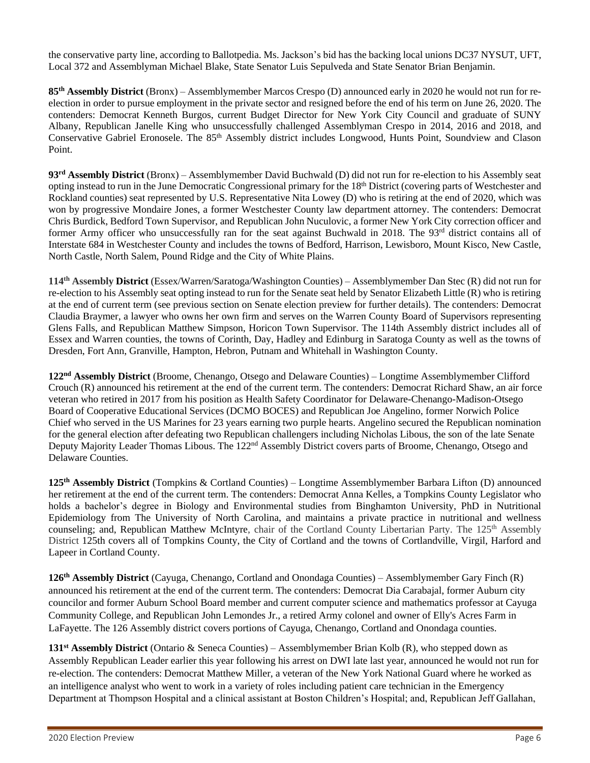the conservative party line, according to Ballotpedia. Ms. Jackson's bid has the backing local unions DC37 NYSUT, UFT, Local 372 and Assemblyman Michael Blake, State Senator Luis Sepulveda and State Senator Brian Benjamin.

**85th Assembly District** (Bronx) – Assemblymember Marcos Crespo (D) announced early in 2020 he would not run for reelection in order to pursue employment in the private sector and resigned before the end of his term on June 26, 2020. The contenders: Democrat Kenneth Burgos, current Budget Director for New York City Council and graduate of SUNY Albany, Republican Janelle King who unsuccessfully challenged Assemblyman Crespo in 2014, 2016 and 2018, and Conservative Gabriel Eronosele. The 85<sup>th</sup> Assembly district includes Longwood, Hunts Point, Soundview and Clason Point.

**93rd Assembly District** (Bronx) – Assemblymember David Buchwald (D) did not run for re-election to his Assembly seat opting instead to run in the June Democratic Congressional primary for the 18th District (covering parts of Westchester and Rockland counties) seat represented by U.S. Representative Nita Lowey (D) who is retiring at the end of 2020, which was won by progressive Mondaire Jones, a former Westchester County law department attorney. The contenders: Democrat Chris Burdick, Bedford Town Supervisor, and Republican John Nuculovic, a former New York City correction officer and former Army officer who unsuccessfully ran for the seat against Buchwald in 2018. The 93<sup>rd</sup> district contains all of Interstate 684 in Westchester County and includes the towns of Bedford, Harrison, Lewisboro, Mount Kisco, New Castle, North Castle, North Salem, Pound Ridge and the City of White Plains.

**114th Assembly District** (Essex/Warren/Saratoga/Washington Counties) – Assemblymember Dan Stec (R) did not run for re-election to his Assembly seat opting instead to run for the Senate seat held by Senator Elizabeth Little (R) who is retiring at the end of current term (see previous section on Senate election preview for further details). The contenders: Democrat [Claudia Braymer,](https://ballotpedia.org/Claudia_Braymer) a lawyer who owns her own firm and serves on the Warren County Board of Supervisors representing Glens Falls, and Republican [Matthew Simpson,](https://ballotpedia.org/Matthew_Simpson_(New_York)) Horicon Town Supervisor. The 114th Assembly district includes all of Essex and Warren counties, the towns of Corinth, Day, Hadley and Edinburg in Saratoga County as well as the towns of Dresden, Fort Ann, Granville, Hampton, Hebron, Putnam and Whitehall in Washington County.

**122nd Assembly District** (Broome, Chenango, Otsego and Delaware Counties) – Longtime Assemblymember Clifford Crouch (R) announced his retirement at the end of the current term. The contenders: Democrat Richard Shaw, an air force veteran who retired in 2017 from his position as Health Safety Coordinator for Delaware-Chenango-Madison-Otsego Board of Cooperative Educational Services (DCMO BOCES) and Republican Joe Angelino, former Norwich Police Chief who served in the US Marines for 23 years earning two purple hearts. Angelino secured the Republican nomination for the general election after defeating two Republican challengers including Nicholas Libous, the son of the late Senate Deputy Majority Leader Thomas Libous. The 122nd Assembly District covers parts of Broome, Chenango, Otsego and Delaware Counties.

**125th Assembly District** (Tompkins & Cortland Counties) – Longtime Assemblymember Barbara Lifton (D) announced her retirement at the end of the current term. The contenders: Democrat Anna Kelles, a Tompkins County Legislator who holds a bachelor's degree in Biology and Environmental studies from Binghamton University, PhD in Nutritional Epidemiology from The University of North Carolina, and maintains a private practice in nutritional and wellness counseling; and, Republican Matthew McIntyre, chair of the Cortland County Libertarian Party. The 125<sup>th</sup> Assembly District 125th covers all of Tompkins County, the City of Cortland and the towns of Cortlandville, Virgil, Harford and Lapeer in Cortland County.

**126th Assembly District** (Cayuga, Chenango, Cortland and Onondaga Counties) – Assemblymember Gary Finch (R) announced his retirement at the end of the current term. The contenders: Democrat [Dia Carabajal,](https://ballotpedia.org/Dia_Carabajal) former Auburn city councilor and former Auburn School Board member and current computer science and mathematics professor at Cayuga Community College, and Republican [John Lemondes Jr.,](https://ballotpedia.org/John_Lemondes_Jr.) a retired Army colonel and owner of Elly's Acres Farm in LaFayette. The 126 Assembly district covers portions of Cayuga, Chenango, Cortland and Onondaga counties.

**131st Assembly District** (Ontario & Seneca Counties) – Assemblymember Brian Kolb (R), who stepped down as Assembly Republican Leader earlier this year following his arrest on DWI late last year, announced he would not run for re-election. The contenders: Democrat Matthew Miller, a veteran of the New York National Guard where he worked as an intelligence analyst who went to work in a variety of roles including patient care technician in the Emergency Department at Thompson Hospital and a clinical assistant at Boston Children's Hospital; and, Republican Jeff Gallahan,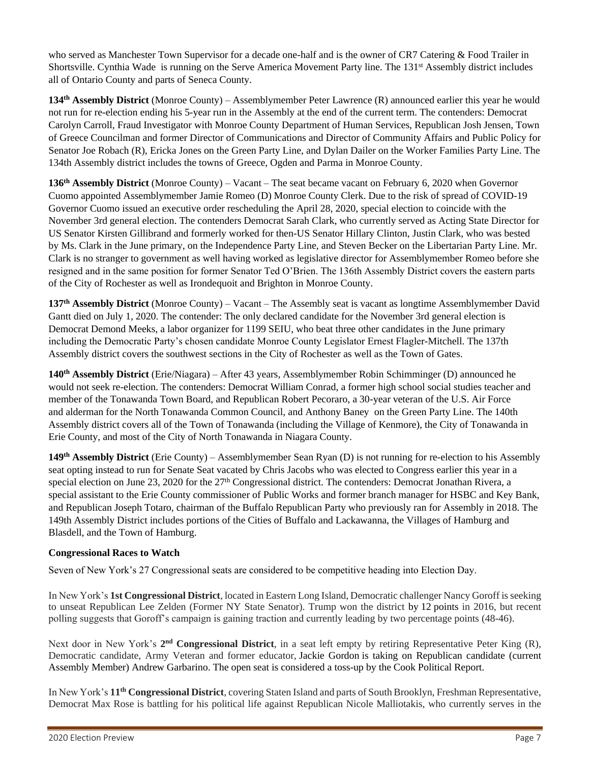who served as Manchester Town Supervisor for a decade one-half and is the owner of CR7 Catering & Food Trailer in Shortsville. [Cynthia Wade](https://ballotpedia.org/Cynthia_Wade) is running on the Serve America Movement Party line. The 131<sup>st</sup> Assembly district includes all of Ontario County and parts of Seneca County.

**134th Assembly District** (Monroe County) – Assemblymember Peter Lawrence (R) announced earlier this year he would not run for re-election ending his 5-year run in the Assembly at the end of the current term. The contenders: Democrat Carolyn Carroll, Fraud Investigator with Monroe County Department of Human Services, Republican Josh Jensen, Town of Greece Councilman and former Director of Communications and Director of Community Affairs and Public Policy for Senator Joe Robach (R), Ericka Jones on the Green Party Line, and Dylan Dailer on the Worker Families Party Line. The 134th Assembly district includes the towns of Greece, Ogden and Parma in Monroe County.

**136th Assembly District** (Monroe County) – Vacant – The seat became vacant on February 6, 2020 when Governor Cuomo appointed Assemblymember Jamie Romeo (D) Monroe County Clerk. Due to the risk of spread of COVID-19 Governor Cuomo issued an executive order rescheduling the April 28, 2020, special election to coincide with the November 3rd general election. The contenders Democrat Sarah Clark, who currently served as Acting State Director for US Senator Kirsten Gillibrand and formerly worked for then-US Senator Hillary Clinton, Justin Clark, who was bested by Ms. Clark in the June primary, on the Independence Party Line, and Steven Becker on the Libertarian Party Line. Mr. Clark is no stranger to government as well having worked as legislative director for Assemblymember Romeo before she resigned and in the same position for former Senator Ted O'Brien. The 136th Assembly District covers the eastern parts of the City of Rochester as well as Irondequoit and Brighton in Monroe County.

**137th Assembly District** (Monroe County) – Vacant – The Assembly seat is vacant as longtime Assemblymember David Gantt died on July 1, 2020. The contender: The only declared candidate for the November 3rd general election is Democrat Demond Meeks, a labor organizer for 1199 SEIU, who beat three other candidates in the June primary including the Democratic Party's chosen candidate Monroe County Legislator Ernest Flagler-Mitchell. The 137th Assembly district covers the southwest sections in the City of Rochester as well as the Town of Gates.

**140th Assembly District** (Erie/Niagara) – After 43 years, Assemblymember Robin Schimminger (D) announced he would not seek re-election. The contenders: Democrat William Conrad, a former high school social studies teacher and member of the Tonawanda Town Board, and Republican Robert Pecoraro, a 30-year veteran of the U.S. Air Force and alderman for the North Tonawanda Common Council, and [Anthony Baney](https://ballotpedia.org/Anthony_Baney) on the Green Party Line. The 140th Assembly district covers all of the Town of Tonawanda (including the Village of Kenmore), the City of Tonawanda in Erie County, and most of the City of North Tonawanda in Niagara County.

**149th Assembly District** (Erie County) – Assemblymember Sean Ryan (D) is not running for re-election to his Assembly seat opting instead to run for Senate Seat vacated by Chris Jacobs who was elected to Congress earlier this year in a special election on June 23, 2020 for the 27<sup>th</sup> Congressional district. The contenders: Democrat Jonathan Rivera, a special assistant to the Erie County commissioner of Public Works and former branch manager for HSBC and Key Bank, and Republican Joseph Totaro, chairman of the Buffalo Republican Party who previously ran for Assembly in 2018. The 149th Assembly District includes portions of the Cities of Buffalo and Lackawanna, the Villages of Hamburg and Blasdell, and the Town of Hamburg.

#### **Congressional Races to Watch**

Seven of New York's 27 Congressional seats are considered to be competitive heading into Election Day.

In New York's **1st Congressional District**, located in Eastern Long Island, Democratic challenger Nancy Goroff is seeking to unseat Republican Lee Zelden (Former NY State Senator). Trump won the district by [12](https://dccc.org/new-dccc-polling-goroff-edges-past-zeldin-ny-01-race/) points in 2016, but recent polling suggests that Goroff's campaign is gaining traction and currently leading by two percentage points (48-46).

Next door in New York's 2<sup>nd</sup> Congressional District, in a seat left empty by retiring Representative Peter King (R), Democratic candidate, Army Veteran and former educator, [Jackie Gordon](https://jackiegordonforcongress.com/) is taking on Republican candidate (current Assembly Member) Andrew Garbarino. The open seat is considered a [toss-up](https://cookpolitical.com/ratings/house-race-ratings) by the Cook Political Report.

In New York's **11th Congressional District**, covering Staten Island and parts of South Brooklyn, Freshman Representative, Democrat Max Rose is battling for his political life against Republican Nicole Malliotakis, who currently serves in the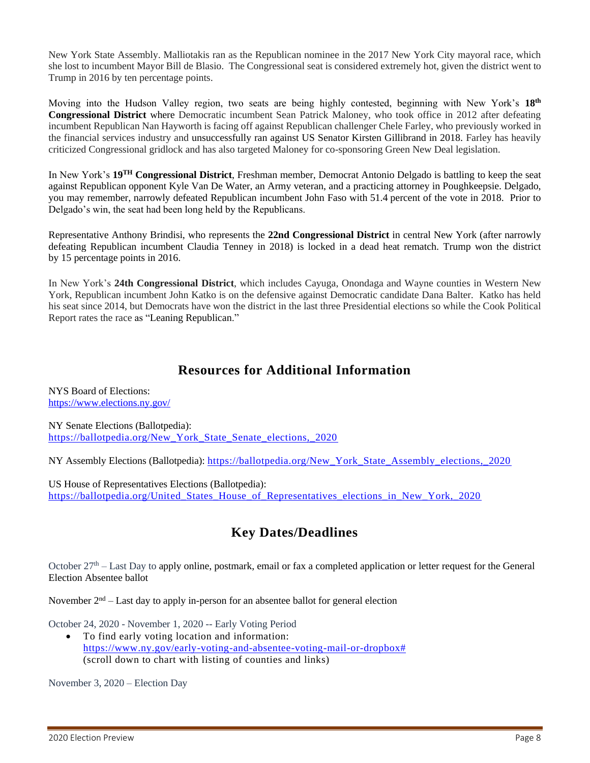New York State Assembly. Malliotakis ran as the Republican nominee in the 2017 New York City mayoral race, which she lost to incumbent Mayor Bill de Blasio. The Congressional seat is considered extremely hot, given the district went to Trump in 2016 by ten percentage points.

Moving into the Hudson Valley region, two seats are being highly contested, beginning with New York's **18th Congressional District** where Democratic incumbent Sean Patrick Maloney, who took office in 2012 after defeating incumbent Republican Nan Hayworth is facing off against Republican challenger Chele Farley, who previously worked in the financial services industry and unsuccessfully ran against US Senator Kirsten Gillibrand in 2018. Farley has heavily criticized Congressional gridlock and has also targeted Maloney for co-sponsoring Green New Deal legislation.

In New York's **19TH Congressional District**, Freshman member, Democrat Antonio Delgado is battling to keep the seat against Republican opponent Kyle Van De Water, an Army veteran, and a practicing attorney in Poughkeepsie. Delgado, you may remember, narrowly defeated Republican incumbent John Faso with [51.4](https://ballotpedia.org/Antonio_Delgado_(New_York)) percent of the vote in 2018. Prior to Delgado's win, the seat had been long held by the Republicans.

Representative Anthony Brindisi, who represents the **22nd Congressional District** in central New York (after narrowly defeating Republican incumbent Claudia Tenney in 2018) is locked in a dead heat rematch. Trump won the district by [15](https://www.businessinsider.com/new-york-22nd-district-house-election-anthony-brindisi-claudia-tenney-2020) percentage points in 2016.

In New York's **24th Congressional District**, which includes Cayuga, Onondaga and Wayne counties in Western New York, Republican incumbent John Katko is on the defensive against Democratic candidate Dana Balter. Katko has held his seat since 2014, but Democrats have won the district in the last three Presidential elections so while the Cook Political Report rates the race as ["Leaning Republican.](https://cookpolitical.com/ratings/house-race-ratings)"

### **Resources for Additional Information**

NYS Board of Elections: <https://www.elections.ny.gov/>

NY Senate Elections (Ballotpedia): https://ballotpedia.org/New York State Senate elections, 2020

NY Assembly Elections (Ballotpedia): [https://ballotpedia.org/New\\_York\\_State\\_Assembly\\_elections,\\_2020](https://ballotpedia.org/New_York_State_Assembly_elections,_2020)

US House of Representatives Elections (Ballotpedia): [https://ballotpedia.org/United\\_States\\_House\\_of\\_Representatives\\_elections\\_in\\_New\\_York,\\_2020](https://ballotpedia.org/United_States_House_of_Representatives_elections_in_New_York,_2020)

### **Key Dates/Deadlines**

October  $27<sup>th</sup>$  – Last Day to apply online, postmark, email or fax a completed application or letter request for the General Election Absentee ballot

November  $2<sup>nd</sup> - Last day to apply in-person for an absence ball of for general election$ 

October 24, 2020 - November 1, 2020 -- Early Voting Period

• To find early voting location and information: [https://www.ny.gov/early-voting-and-absentee-voting-mail-or-dropbox#](https://www.ny.gov/early-voting-and-absentee-voting-mail-or-dropbox) (scroll down to chart with listing of counties and links)

November 3, 2020 – Election Day